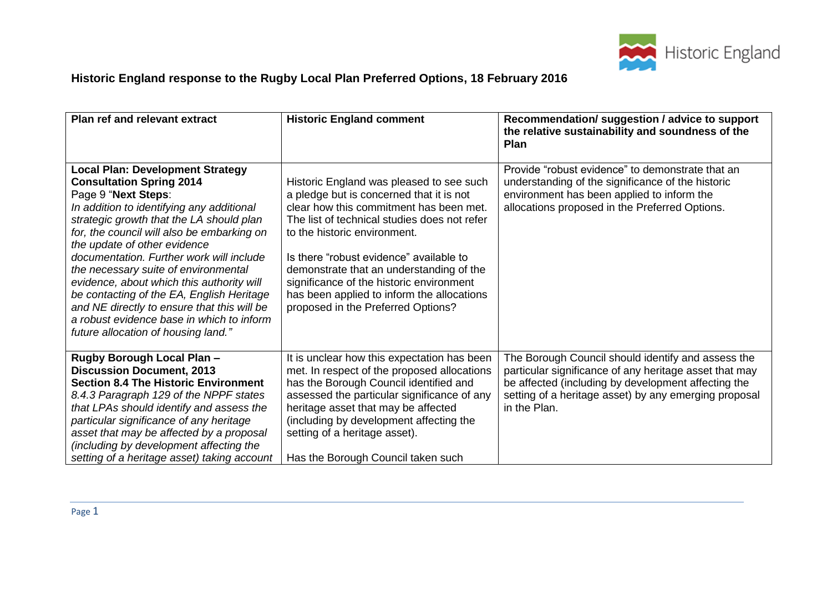

## **Historic England response to the Rugby Local Plan Preferred Options, 18 February 2016**

| <b>Plan ref and relevant extract</b>                                                                                                                                                                                                                                                                                                                                                                                                                                                                                                                                                      | <b>Historic England comment</b>                                                                                                                                                                                                                                                                                                                                                                                                        | Recommendation/ suggestion / advice to support<br>the relative sustainability and soundness of the<br><b>Plan</b>                                                                                                                            |
|-------------------------------------------------------------------------------------------------------------------------------------------------------------------------------------------------------------------------------------------------------------------------------------------------------------------------------------------------------------------------------------------------------------------------------------------------------------------------------------------------------------------------------------------------------------------------------------------|----------------------------------------------------------------------------------------------------------------------------------------------------------------------------------------------------------------------------------------------------------------------------------------------------------------------------------------------------------------------------------------------------------------------------------------|----------------------------------------------------------------------------------------------------------------------------------------------------------------------------------------------------------------------------------------------|
| <b>Local Plan: Development Strategy</b><br><b>Consultation Spring 2014</b><br>Page 9 "Next Steps:<br>In addition to identifying any additional<br>strategic growth that the LA should plan<br>for, the council will also be embarking on<br>the update of other evidence<br>documentation. Further work will include<br>the necessary suite of environmental<br>evidence, about which this authority will<br>be contacting of the EA, English Heritage<br>and NE directly to ensure that this will be<br>a robust evidence base in which to inform<br>future allocation of housing land." | Historic England was pleased to see such<br>a pledge but is concerned that it is not<br>clear how this commitment has been met.<br>The list of technical studies does not refer<br>to the historic environment.<br>Is there "robust evidence" available to<br>demonstrate that an understanding of the<br>significance of the historic environment<br>has been applied to inform the allocations<br>proposed in the Preferred Options? | Provide "robust evidence" to demonstrate that an<br>understanding of the significance of the historic<br>environment has been applied to inform the<br>allocations proposed in the Preferred Options.                                        |
| Rugby Borough Local Plan -<br><b>Discussion Document, 2013</b><br><b>Section 8.4 The Historic Environment</b><br>8.4.3 Paragraph 129 of the NPPF states<br>that LPAs should identify and assess the<br>particular significance of any heritage<br>asset that may be affected by a proposal<br>(including by development affecting the<br>setting of a heritage asset) taking account                                                                                                                                                                                                      | It is unclear how this expectation has been<br>met. In respect of the proposed allocations<br>has the Borough Council identified and<br>assessed the particular significance of any<br>heritage asset that may be affected<br>(including by development affecting the<br>setting of a heritage asset).<br>Has the Borough Council taken such                                                                                           | The Borough Council should identify and assess the<br>particular significance of any heritage asset that may<br>be affected (including by development affecting the<br>setting of a heritage asset) by any emerging proposal<br>in the Plan. |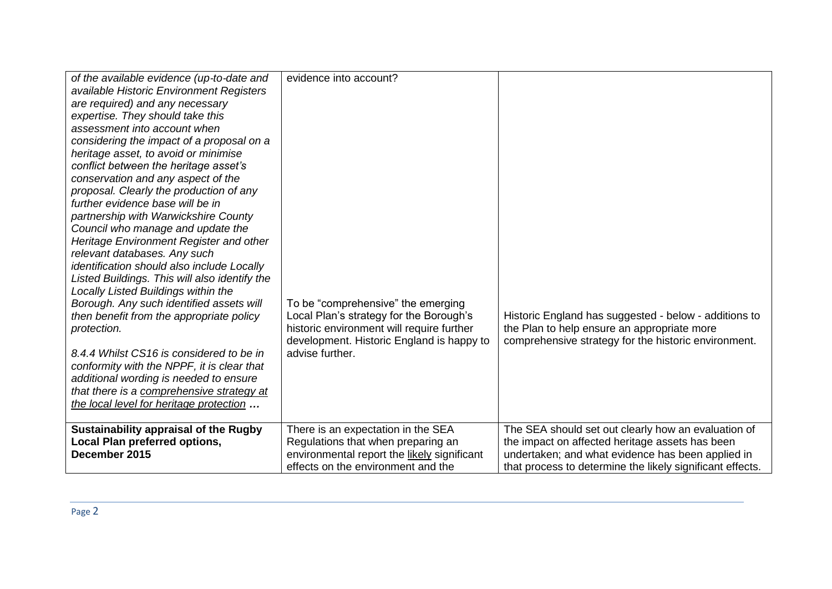| of the available evidence (up-to-date and<br>available Historic Environment Registers<br>are required) and any necessary<br>expertise. They should take this<br>assessment into account when<br>considering the impact of a proposal on a<br>heritage asset, to avoid or minimise<br>conflict between the heritage asset's<br>conservation and any aspect of the<br>proposal. Clearly the production of any<br>further evidence base will be in<br>partnership with Warwickshire County<br>Council who manage and update the<br>Heritage Environment Register and other<br>relevant databases. Any such<br>identification should also include Locally<br>Listed Buildings. This will also identify the<br>Locally Listed Buildings within the<br>Borough. Any such identified assets will<br>then benefit from the appropriate policy<br>protection.<br>8.4.4 Whilst CS16 is considered to be in<br>conformity with the NPPF, it is clear that<br>additional wording is needed to ensure<br>that there is a comprehensive strategy at<br>the local level for heritage protection | evidence into account?<br>To be "comprehensive" the emerging<br>Local Plan's strategy for the Borough's<br>historic environment will require further<br>development. Historic England is happy to<br>advise further. | Historic England has suggested - below - additions to<br>the Plan to help ensure an appropriate more<br>comprehensive strategy for the historic environment.                                                             |
|----------------------------------------------------------------------------------------------------------------------------------------------------------------------------------------------------------------------------------------------------------------------------------------------------------------------------------------------------------------------------------------------------------------------------------------------------------------------------------------------------------------------------------------------------------------------------------------------------------------------------------------------------------------------------------------------------------------------------------------------------------------------------------------------------------------------------------------------------------------------------------------------------------------------------------------------------------------------------------------------------------------------------------------------------------------------------------|----------------------------------------------------------------------------------------------------------------------------------------------------------------------------------------------------------------------|--------------------------------------------------------------------------------------------------------------------------------------------------------------------------------------------------------------------------|
| Sustainability appraisal of the Rugby<br><b>Local Plan preferred options,</b><br>December 2015                                                                                                                                                                                                                                                                                                                                                                                                                                                                                                                                                                                                                                                                                                                                                                                                                                                                                                                                                                                   | There is an expectation in the SEA<br>Regulations that when preparing an<br>environmental report the likely significant<br>effects on the environment and the                                                        | The SEA should set out clearly how an evaluation of<br>the impact on affected heritage assets has been<br>undertaken; and what evidence has been applied in<br>that process to determine the likely significant effects. |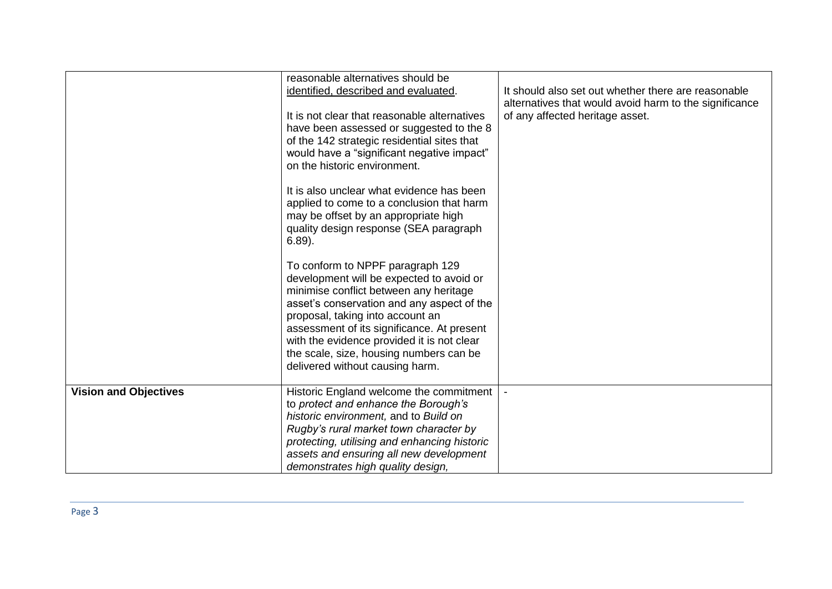|                              | reasonable alternatives should be<br>identified, described and evaluated.<br>It is not clear that reasonable alternatives<br>have been assessed or suggested to the 8<br>of the 142 strategic residential sites that<br>would have a "significant negative impact"<br>on the historic environment.<br>It is also unclear what evidence has been<br>applied to come to a conclusion that harm<br>may be offset by an appropriate high<br>quality design response (SEA paragraph<br>$6.89$ ).<br>To conform to NPPF paragraph 129<br>development will be expected to avoid or<br>minimise conflict between any heritage<br>asset's conservation and any aspect of the<br>proposal, taking into account an<br>assessment of its significance. At present | It should also set out whether there are reasonable<br>alternatives that would avoid harm to the significance<br>of any affected heritage asset. |
|------------------------------|-------------------------------------------------------------------------------------------------------------------------------------------------------------------------------------------------------------------------------------------------------------------------------------------------------------------------------------------------------------------------------------------------------------------------------------------------------------------------------------------------------------------------------------------------------------------------------------------------------------------------------------------------------------------------------------------------------------------------------------------------------|--------------------------------------------------------------------------------------------------------------------------------------------------|
|                              | with the evidence provided it is not clear<br>the scale, size, housing numbers can be<br>delivered without causing harm.                                                                                                                                                                                                                                                                                                                                                                                                                                                                                                                                                                                                                              |                                                                                                                                                  |
| <b>Vision and Objectives</b> | Historic England welcome the commitment<br>to protect and enhance the Borough's<br>historic environment, and to Build on<br>Rugby's rural market town character by<br>protecting, utilising and enhancing historic<br>assets and ensuring all new development<br>demonstrates high quality design,                                                                                                                                                                                                                                                                                                                                                                                                                                                    |                                                                                                                                                  |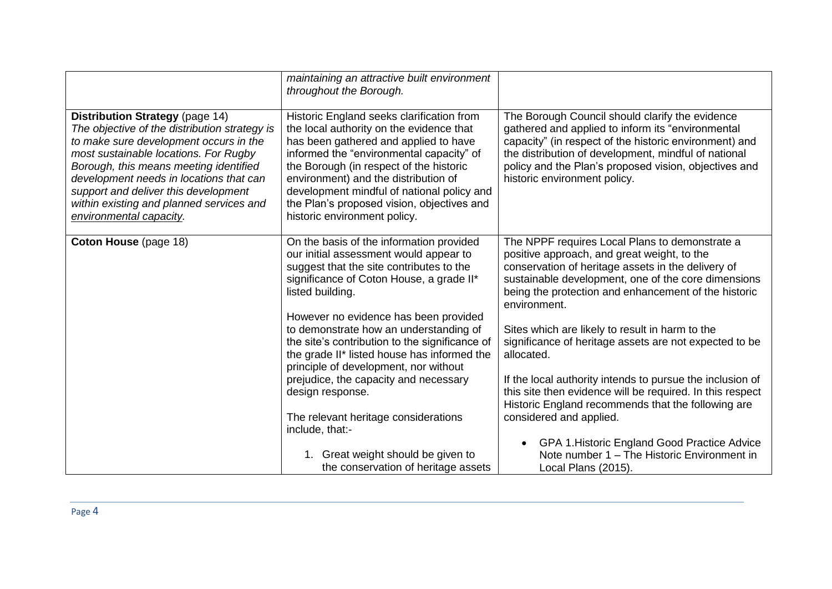|                                                                                                                                                                                                                                                                                                                                                                         | maintaining an attractive built environment<br>throughout the Borough.                                                                                                                                                                                                                                                                                                                    |                                                                                                                                                                                                                                                                                                                 |
|-------------------------------------------------------------------------------------------------------------------------------------------------------------------------------------------------------------------------------------------------------------------------------------------------------------------------------------------------------------------------|-------------------------------------------------------------------------------------------------------------------------------------------------------------------------------------------------------------------------------------------------------------------------------------------------------------------------------------------------------------------------------------------|-----------------------------------------------------------------------------------------------------------------------------------------------------------------------------------------------------------------------------------------------------------------------------------------------------------------|
| Distribution Strategy (page 14)<br>The objective of the distribution strategy is<br>to make sure development occurs in the<br>most sustainable locations. For Rugby<br>Borough, this means meeting identified<br>development needs in locations that can<br>support and deliver this development<br>within existing and planned services and<br>environmental capacity. | Historic England seeks clarification from<br>the local authority on the evidence that<br>has been gathered and applied to have<br>informed the "environmental capacity" of<br>the Borough (in respect of the historic<br>environment) and the distribution of<br>development mindful of national policy and<br>the Plan's proposed vision, objectives and<br>historic environment policy. | The Borough Council should clarify the evidence<br>gathered and applied to inform its "environmental<br>capacity" (in respect of the historic environment) and<br>the distribution of development, mindful of national<br>policy and the Plan's proposed vision, objectives and<br>historic environment policy. |
| <b>Coton House (page 18)</b>                                                                                                                                                                                                                                                                                                                                            | On the basis of the information provided<br>our initial assessment would appear to<br>suggest that the site contributes to the<br>significance of Coton House, a grade II*<br>listed building.                                                                                                                                                                                            | The NPPF requires Local Plans to demonstrate a<br>positive approach, and great weight, to the<br>conservation of heritage assets in the delivery of<br>sustainable development, one of the core dimensions<br>being the protection and enhancement of the historic<br>environment.                              |
|                                                                                                                                                                                                                                                                                                                                                                         | However no evidence has been provided<br>to demonstrate how an understanding of<br>the site's contribution to the significance of<br>the grade II* listed house has informed the<br>principle of development, nor without                                                                                                                                                                 | Sites which are likely to result in harm to the<br>significance of heritage assets are not expected to be<br>allocated.                                                                                                                                                                                         |
|                                                                                                                                                                                                                                                                                                                                                                         | prejudice, the capacity and necessary<br>design response.                                                                                                                                                                                                                                                                                                                                 | If the local authority intends to pursue the inclusion of<br>this site then evidence will be required. In this respect<br>Historic England recommends that the following are                                                                                                                                    |
|                                                                                                                                                                                                                                                                                                                                                                         | The relevant heritage considerations<br>include, that:-                                                                                                                                                                                                                                                                                                                                   | considered and applied.                                                                                                                                                                                                                                                                                         |
|                                                                                                                                                                                                                                                                                                                                                                         | 1. Great weight should be given to<br>the conservation of heritage assets                                                                                                                                                                                                                                                                                                                 | GPA 1. Historic England Good Practice Advice<br>$\bullet$<br>Note number 1 - The Historic Environment in<br>Local Plans (2015).                                                                                                                                                                                 |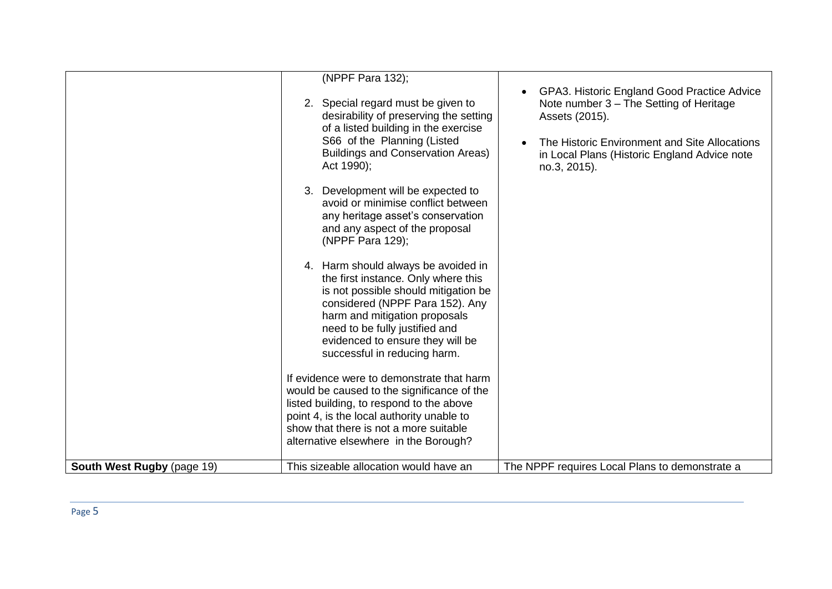|                            | (NPPF Para 132);<br>Act 1990); | 2. Special regard must be given to<br>desirability of preserving the setting<br>of a listed building in the exercise<br>S66 of the Planning (Listed<br><b>Buildings and Conservation Areas)</b>                                                                                              | GPA3. Historic England Good Practice Advice<br>Note number 3 - The Setting of Heritage<br>Assets (2015).<br>The Historic Environment and Site Allocations<br>in Local Plans (Historic England Advice note<br>no.3, 2015). |
|----------------------------|--------------------------------|----------------------------------------------------------------------------------------------------------------------------------------------------------------------------------------------------------------------------------------------------------------------------------------------|---------------------------------------------------------------------------------------------------------------------------------------------------------------------------------------------------------------------------|
|                            | (NPPF Para 129);               | 3. Development will be expected to<br>avoid or minimise conflict between<br>any heritage asset's conservation<br>and any aspect of the proposal                                                                                                                                              |                                                                                                                                                                                                                           |
|                            |                                | 4. Harm should always be avoided in<br>the first instance. Only where this<br>is not possible should mitigation be<br>considered (NPPF Para 152). Any<br>harm and mitigation proposals<br>need to be fully justified and<br>evidenced to ensure they will be<br>successful in reducing harm. |                                                                                                                                                                                                                           |
|                            |                                | If evidence were to demonstrate that harm<br>would be caused to the significance of the<br>listed building, to respond to the above<br>point 4, is the local authority unable to<br>show that there is not a more suitable<br>alternative elsewhere in the Borough?                          |                                                                                                                                                                                                                           |
| South West Rugby (page 19) |                                | This sizeable allocation would have an                                                                                                                                                                                                                                                       | The NPPF requires Local Plans to demonstrate a                                                                                                                                                                            |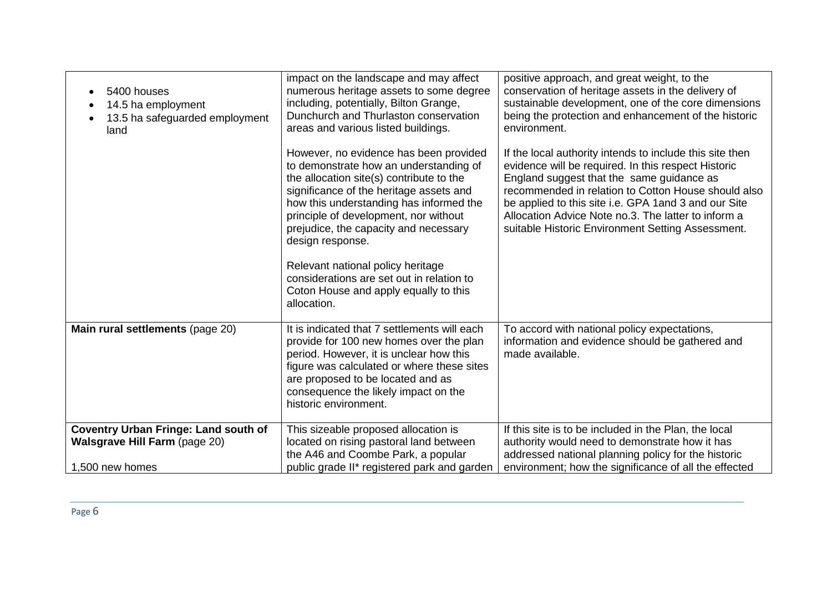| 5400 houses<br>14.5 ha employment<br>13.5 ha safeguarded employment<br>land         | impact on the landscape and may affect<br>numerous heritage assets to some degree<br>including, potentially, Bilton Grange,<br>Dunchurch and Thurlaston conservation<br>areas and various listed buildings.<br>However, no evidence has been provided<br>to demonstrate how an understanding of<br>the allocation site(s) contribute to the<br>significance of the heritage assets and<br>how this understanding has informed the<br>principle of development, nor without<br>prejudice, the capacity and necessary<br>design response.<br>Relevant national policy heritage<br>considerations are set out in relation to<br>Coton House and apply equally to this<br>allocation. | positive approach, and great weight, to the<br>conservation of heritage assets in the delivery of<br>sustainable development, one of the core dimensions<br>being the protection and enhancement of the historic<br>environment.<br>If the local authority intends to include this site then<br>evidence will be required. In this respect Historic<br>England suggest that the same guidance as<br>recommended in relation to Cotton House should also<br>be applied to this site i.e. GPA 1 and 3 and our Site<br>Allocation Advice Note no.3. The latter to inform a<br>suitable Historic Environment Setting Assessment. |
|-------------------------------------------------------------------------------------|-----------------------------------------------------------------------------------------------------------------------------------------------------------------------------------------------------------------------------------------------------------------------------------------------------------------------------------------------------------------------------------------------------------------------------------------------------------------------------------------------------------------------------------------------------------------------------------------------------------------------------------------------------------------------------------|------------------------------------------------------------------------------------------------------------------------------------------------------------------------------------------------------------------------------------------------------------------------------------------------------------------------------------------------------------------------------------------------------------------------------------------------------------------------------------------------------------------------------------------------------------------------------------------------------------------------------|
| Main rural settlements (page 20)                                                    | It is indicated that 7 settlements will each<br>provide for 100 new homes over the plan<br>period. However, it is unclear how this<br>figure was calculated or where these sites<br>are proposed to be located and as<br>consequence the likely impact on the<br>historic environment.                                                                                                                                                                                                                                                                                                                                                                                            | To accord with national policy expectations,<br>information and evidence should be gathered and<br>made available.                                                                                                                                                                                                                                                                                                                                                                                                                                                                                                           |
| <b>Coventry Urban Fringe: Land south of</b><br><b>Walsgrave Hill Farm (page 20)</b> | This sizeable proposed allocation is<br>located on rising pastoral land between                                                                                                                                                                                                                                                                                                                                                                                                                                                                                                                                                                                                   | If this site is to be included in the Plan, the local<br>authority would need to demonstrate how it has                                                                                                                                                                                                                                                                                                                                                                                                                                                                                                                      |
|                                                                                     | the A46 and Coombe Park, a popular                                                                                                                                                                                                                                                                                                                                                                                                                                                                                                                                                                                                                                                | addressed national planning policy for the historic                                                                                                                                                                                                                                                                                                                                                                                                                                                                                                                                                                          |
| 1,500 new homes                                                                     | public grade II* registered park and garden                                                                                                                                                                                                                                                                                                                                                                                                                                                                                                                                                                                                                                       | environment; how the significance of all the effected                                                                                                                                                                                                                                                                                                                                                                                                                                                                                                                                                                        |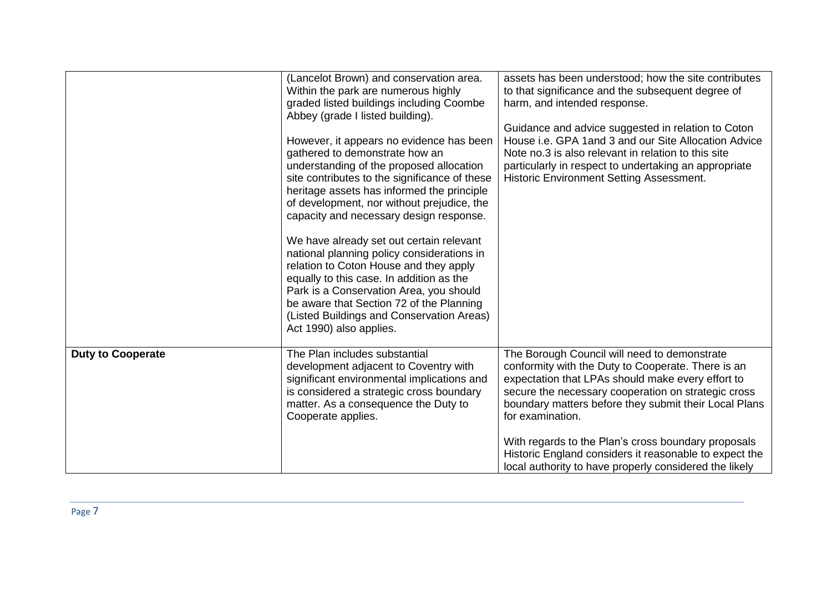|                          | (Lancelot Brown) and conservation area.<br>Within the park are numerous highly<br>graded listed buildings including Coombe<br>Abbey (grade I listed building).<br>However, it appears no evidence has been<br>gathered to demonstrate how an<br>understanding of the proposed allocation<br>site contributes to the significance of these<br>heritage assets has informed the principle<br>of development, nor without prejudice, the<br>capacity and necessary design response.<br>We have already set out certain relevant<br>national planning policy considerations in<br>relation to Coton House and they apply<br>equally to this case. In addition as the<br>Park is a Conservation Area, you should<br>be aware that Section 72 of the Planning<br>(Listed Buildings and Conservation Areas)<br>Act 1990) also applies. | assets has been understood; how the site contributes<br>to that significance and the subsequent degree of<br>harm, and intended response.<br>Guidance and advice suggested in relation to Coton<br>House i.e. GPA 1and 3 and our Site Allocation Advice<br>Note no.3 is also relevant in relation to this site<br>particularly in respect to undertaking an appropriate<br><b>Historic Environment Setting Assessment.</b>                                             |
|--------------------------|---------------------------------------------------------------------------------------------------------------------------------------------------------------------------------------------------------------------------------------------------------------------------------------------------------------------------------------------------------------------------------------------------------------------------------------------------------------------------------------------------------------------------------------------------------------------------------------------------------------------------------------------------------------------------------------------------------------------------------------------------------------------------------------------------------------------------------|------------------------------------------------------------------------------------------------------------------------------------------------------------------------------------------------------------------------------------------------------------------------------------------------------------------------------------------------------------------------------------------------------------------------------------------------------------------------|
| <b>Duty to Cooperate</b> | The Plan includes substantial<br>development adjacent to Coventry with<br>significant environmental implications and<br>is considered a strategic cross boundary<br>matter. As a consequence the Duty to<br>Cooperate applies.                                                                                                                                                                                                                                                                                                                                                                                                                                                                                                                                                                                                  | The Borough Council will need to demonstrate<br>conformity with the Duty to Cooperate. There is an<br>expectation that LPAs should make every effort to<br>secure the necessary cooperation on strategic cross<br>boundary matters before they submit their Local Plans<br>for examination.<br>With regards to the Plan's cross boundary proposals<br>Historic England considers it reasonable to expect the<br>local authority to have properly considered the likely |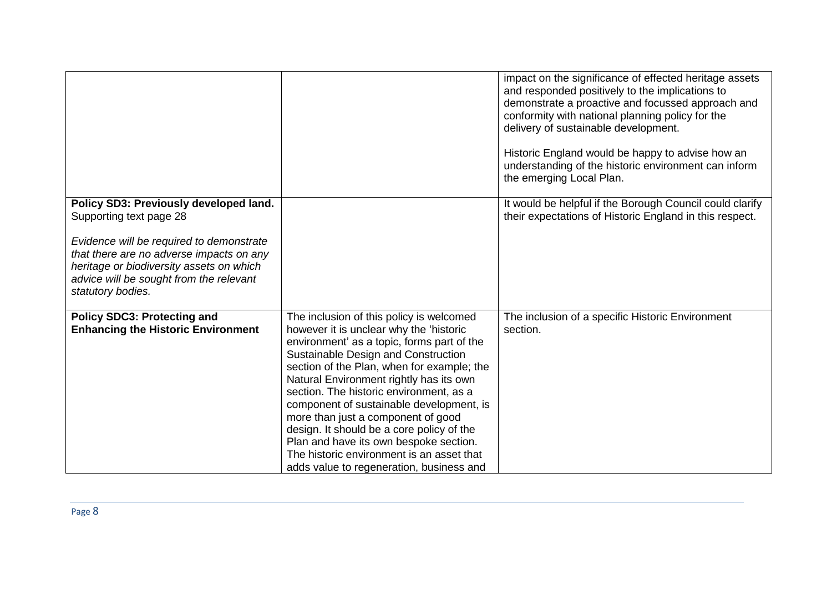|                                                                                                                                                                                                  |                                                                                                                                                                                                                                                                                                                                                                                                                                                                                                                                                                                | impact on the significance of effected heritage assets<br>and responded positively to the implications to<br>demonstrate a proactive and focussed approach and<br>conformity with national planning policy for the |
|--------------------------------------------------------------------------------------------------------------------------------------------------------------------------------------------------|--------------------------------------------------------------------------------------------------------------------------------------------------------------------------------------------------------------------------------------------------------------------------------------------------------------------------------------------------------------------------------------------------------------------------------------------------------------------------------------------------------------------------------------------------------------------------------|--------------------------------------------------------------------------------------------------------------------------------------------------------------------------------------------------------------------|
|                                                                                                                                                                                                  |                                                                                                                                                                                                                                                                                                                                                                                                                                                                                                                                                                                | delivery of sustainable development.                                                                                                                                                                               |
|                                                                                                                                                                                                  |                                                                                                                                                                                                                                                                                                                                                                                                                                                                                                                                                                                | Historic England would be happy to advise how an<br>understanding of the historic environment can inform<br>the emerging Local Plan.                                                                               |
| Policy SD3: Previously developed land.<br>Supporting text page 28                                                                                                                                |                                                                                                                                                                                                                                                                                                                                                                                                                                                                                                                                                                                | It would be helpful if the Borough Council could clarify<br>their expectations of Historic England in this respect.                                                                                                |
| Evidence will be required to demonstrate<br>that there are no adverse impacts on any<br>heritage or biodiversity assets on which<br>advice will be sought from the relevant<br>statutory bodies. |                                                                                                                                                                                                                                                                                                                                                                                                                                                                                                                                                                                |                                                                                                                                                                                                                    |
| <b>Policy SDC3: Protecting and</b><br><b>Enhancing the Historic Environment</b>                                                                                                                  | The inclusion of this policy is welcomed<br>however it is unclear why the 'historic<br>environment' as a topic, forms part of the<br>Sustainable Design and Construction<br>section of the Plan, when for example; the<br>Natural Environment rightly has its own<br>section. The historic environment, as a<br>component of sustainable development, is<br>more than just a component of good<br>design. It should be a core policy of the<br>Plan and have its own bespoke section.<br>The historic environment is an asset that<br>adds value to regeneration, business and | The inclusion of a specific Historic Environment<br>section.                                                                                                                                                       |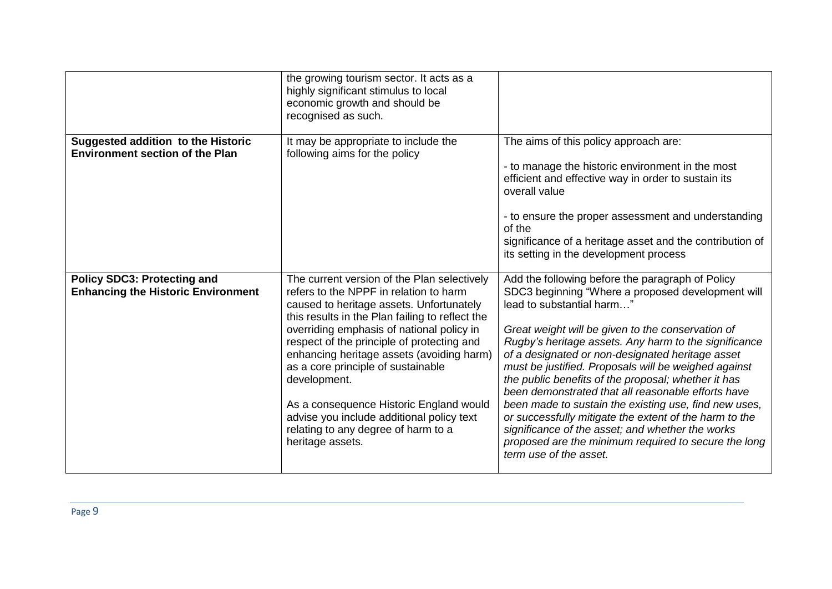|                                                                                     | the growing tourism sector. It acts as a<br>highly significant stimulus to local<br>economic growth and should be<br>recognised as such.                                                                                                                                                                                                                                                                                                                                                                                              |                                                                                                                                                                                                                                                                                                                                                                                                                                                                                                                                                                                                                                                                                                                                    |
|-------------------------------------------------------------------------------------|---------------------------------------------------------------------------------------------------------------------------------------------------------------------------------------------------------------------------------------------------------------------------------------------------------------------------------------------------------------------------------------------------------------------------------------------------------------------------------------------------------------------------------------|------------------------------------------------------------------------------------------------------------------------------------------------------------------------------------------------------------------------------------------------------------------------------------------------------------------------------------------------------------------------------------------------------------------------------------------------------------------------------------------------------------------------------------------------------------------------------------------------------------------------------------------------------------------------------------------------------------------------------------|
| <b>Suggested addition to the Historic</b><br><b>Environment section of the Plan</b> | It may be appropriate to include the<br>following aims for the policy                                                                                                                                                                                                                                                                                                                                                                                                                                                                 | The aims of this policy approach are:<br>- to manage the historic environment in the most<br>efficient and effective way in order to sustain its<br>overall value<br>- to ensure the proper assessment and understanding<br>of the<br>significance of a heritage asset and the contribution of<br>its setting in the development process                                                                                                                                                                                                                                                                                                                                                                                           |
| <b>Policy SDC3: Protecting and</b><br><b>Enhancing the Historic Environment</b>     | The current version of the Plan selectively<br>refers to the NPPF in relation to harm<br>caused to heritage assets. Unfortunately<br>this results in the Plan failing to reflect the<br>overriding emphasis of national policy in<br>respect of the principle of protecting and<br>enhancing heritage assets (avoiding harm)<br>as a core principle of sustainable<br>development.<br>As a consequence Historic England would<br>advise you include additional policy text<br>relating to any degree of harm to a<br>heritage assets. | Add the following before the paragraph of Policy<br>SDC3 beginning "Where a proposed development will<br>lead to substantial harm"<br>Great weight will be given to the conservation of<br>Rugby's heritage assets. Any harm to the significance<br>of a designated or non-designated heritage asset<br>must be justified. Proposals will be weighed against<br>the public benefits of the proposal; whether it has<br>been demonstrated that all reasonable efforts have<br>been made to sustain the existing use, find new uses,<br>or successfully mitigate the extent of the harm to the<br>significance of the asset; and whether the works<br>proposed are the minimum required to secure the long<br>term use of the asset. |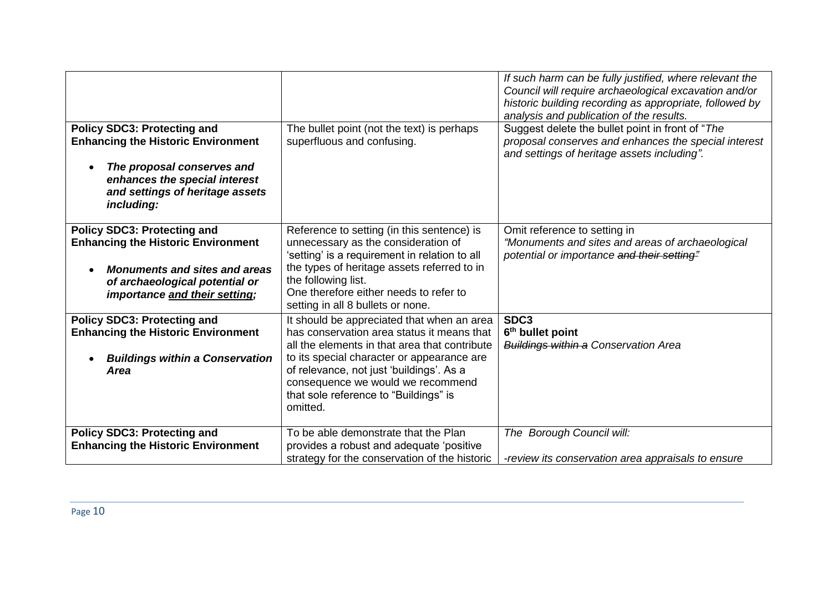|                                                                                                                                                                                   |                                                                                                                                                                                  | If such harm can be fully justified, where relevant the<br>Council will require archaeological excavation and/or<br>historic building recording as appropriate, followed by<br>analysis and publication of the results. |
|-----------------------------------------------------------------------------------------------------------------------------------------------------------------------------------|----------------------------------------------------------------------------------------------------------------------------------------------------------------------------------|-------------------------------------------------------------------------------------------------------------------------------------------------------------------------------------------------------------------------|
| <b>Policy SDC3: Protecting and</b><br><b>Enhancing the Historic Environment</b><br>The proposal conserves and<br>enhances the special interest<br>and settings of heritage assets | The bullet point (not the text) is perhaps<br>superfluous and confusing.                                                                                                         | Suggest delete the bullet point in front of "The<br>proposal conserves and enhances the special interest<br>and settings of heritage assets including".                                                                 |
| including:                                                                                                                                                                        |                                                                                                                                                                                  |                                                                                                                                                                                                                         |
| <b>Policy SDC3: Protecting and</b><br><b>Enhancing the Historic Environment</b>                                                                                                   | Reference to setting (in this sentence) is<br>unnecessary as the consideration of<br>'setting' is a requirement in relation to all                                               | Omit reference to setting in<br>"Monuments and sites and areas of archaeological<br>potential or importance and their setting"                                                                                          |
| <b>Monuments and sites and areas</b><br>of archaeological potential or<br>importance and their setting;                                                                           | the types of heritage assets referred to in<br>the following list.<br>One therefore either needs to refer to<br>setting in all 8 bullets or none.                                |                                                                                                                                                                                                                         |
| <b>Policy SDC3: Protecting and</b><br><b>Enhancing the Historic Environment</b>                                                                                                   | It should be appreciated that when an area<br>has conservation area status it means that<br>all the elements in that area that contribute                                        | SDC <sub>3</sub><br>6 <sup>th</sup> bullet point<br><b>Buildings within a Conservation Area</b>                                                                                                                         |
| <b>Buildings within a Conservation</b><br><b>Area</b>                                                                                                                             | to its special character or appearance are<br>of relevance, not just 'buildings'. As a<br>consequence we would we recommend<br>that sole reference to "Buildings" is<br>omitted. |                                                                                                                                                                                                                         |
| <b>Policy SDC3: Protecting and</b><br><b>Enhancing the Historic Environment</b>                                                                                                   | To be able demonstrate that the Plan<br>provides a robust and adequate 'positive<br>strategy for the conservation of the historic                                                | The Borough Council will:<br>-review its conservation area appraisals to ensure                                                                                                                                         |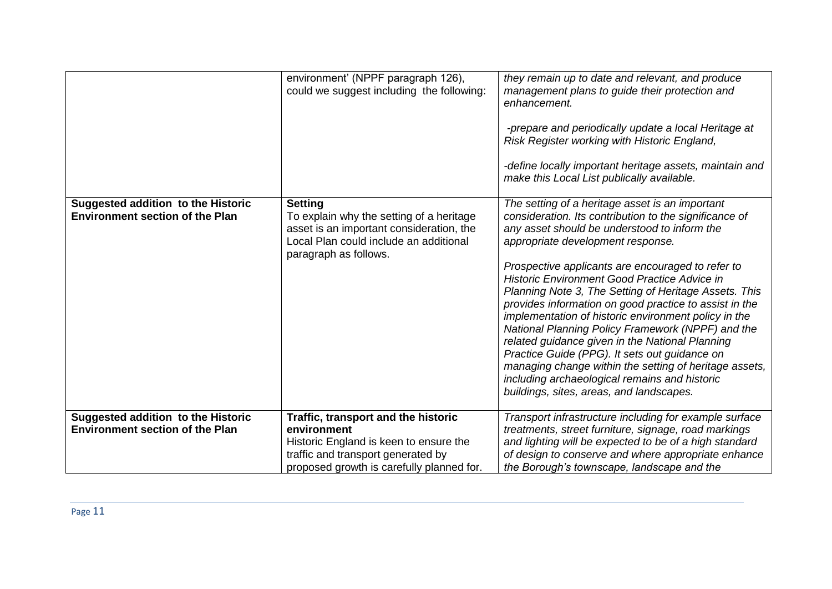|                                                                                     | environment' (NPPF paragraph 126),<br>could we suggest including the following:                                                                                                 | they remain up to date and relevant, and produce<br>management plans to guide their protection and<br>enhancement.<br>-prepare and periodically update a local Heritage at<br>Risk Register working with Historic England,<br>-define locally important heritage assets, maintain and<br>make this Local List publically available.                                                                                                                                                                                                                                                                                                                                                                                                                                                                   |
|-------------------------------------------------------------------------------------|---------------------------------------------------------------------------------------------------------------------------------------------------------------------------------|-------------------------------------------------------------------------------------------------------------------------------------------------------------------------------------------------------------------------------------------------------------------------------------------------------------------------------------------------------------------------------------------------------------------------------------------------------------------------------------------------------------------------------------------------------------------------------------------------------------------------------------------------------------------------------------------------------------------------------------------------------------------------------------------------------|
| Suggested addition to the Historic<br><b>Environment section of the Plan</b>        | <b>Setting</b><br>To explain why the setting of a heritage<br>asset is an important consideration, the<br>Local Plan could include an additional<br>paragraph as follows.       | The setting of a heritage asset is an important<br>consideration. Its contribution to the significance of<br>any asset should be understood to inform the<br>appropriate development response.<br>Prospective applicants are encouraged to refer to<br><b>Historic Environment Good Practice Advice in</b><br>Planning Note 3, The Setting of Heritage Assets. This<br>provides information on good practice to assist in the<br>implementation of historic environment policy in the<br>National Planning Policy Framework (NPPF) and the<br>related guidance given in the National Planning<br>Practice Guide (PPG). It sets out guidance on<br>managing change within the setting of heritage assets,<br>including archaeological remains and historic<br>buildings, sites, areas, and landscapes. |
| <b>Suggested addition to the Historic</b><br><b>Environment section of the Plan</b> | Traffic, transport and the historic<br>environment<br>Historic England is keen to ensure the<br>traffic and transport generated by<br>proposed growth is carefully planned for. | Transport infrastructure including for example surface<br>treatments, street furniture, signage, road markings<br>and lighting will be expected to be of a high standard<br>of design to conserve and where appropriate enhance<br>the Borough's townscape, landscape and the                                                                                                                                                                                                                                                                                                                                                                                                                                                                                                                         |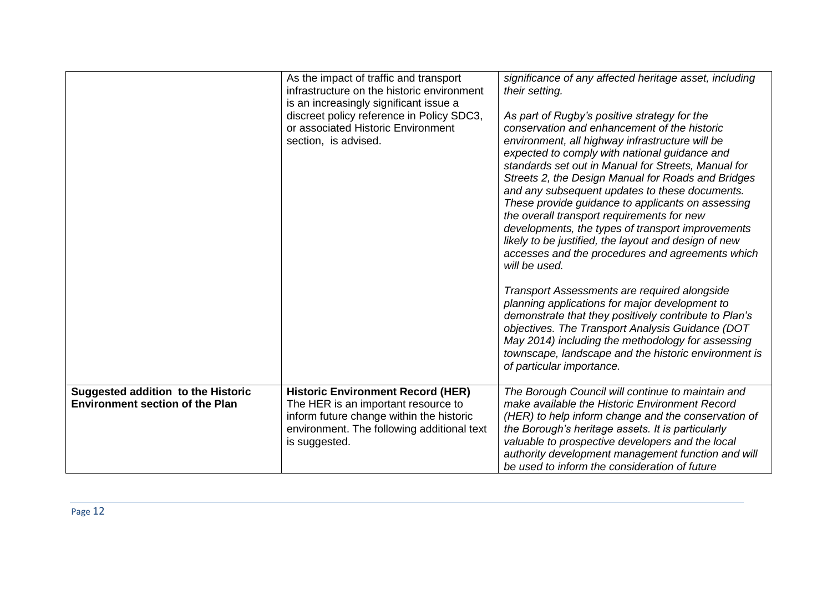|                                                                                     | As the impact of traffic and transport<br>infrastructure on the historic environment<br>is an increasingly significant issue a<br>discreet policy reference in Policy SDC3,<br>or associated Historic Environment<br>section, is advised. | significance of any affected heritage asset, including<br>their setting.<br>As part of Rugby's positive strategy for the<br>conservation and enhancement of the historic<br>environment, all highway infrastructure will be<br>expected to comply with national guidance and<br>standards set out in Manual for Streets, Manual for<br>Streets 2, the Design Manual for Roads and Bridges<br>and any subsequent updates to these documents.<br>These provide guidance to applicants on assessing<br>the overall transport requirements for new<br>developments, the types of transport improvements<br>likely to be justified, the layout and design of new<br>accesses and the procedures and agreements which<br>will be used.<br>Transport Assessments are required alongside<br>planning applications for major development to<br>demonstrate that they positively contribute to Plan's<br>objectives. The Transport Analysis Guidance (DOT<br>May 2014) including the methodology for assessing<br>townscape, landscape and the historic environment is<br>of particular importance. |
|-------------------------------------------------------------------------------------|-------------------------------------------------------------------------------------------------------------------------------------------------------------------------------------------------------------------------------------------|-------------------------------------------------------------------------------------------------------------------------------------------------------------------------------------------------------------------------------------------------------------------------------------------------------------------------------------------------------------------------------------------------------------------------------------------------------------------------------------------------------------------------------------------------------------------------------------------------------------------------------------------------------------------------------------------------------------------------------------------------------------------------------------------------------------------------------------------------------------------------------------------------------------------------------------------------------------------------------------------------------------------------------------------------------------------------------------------|
| <b>Suggested addition to the Historic</b><br><b>Environment section of the Plan</b> | <b>Historic Environment Record (HER)</b><br>The HER is an important resource to<br>inform future change within the historic<br>environment. The following additional text<br>is suggested.                                                | The Borough Council will continue to maintain and<br>make available the Historic Environment Record<br>(HER) to help inform change and the conservation of<br>the Borough's heritage assets. It is particularly<br>valuable to prospective developers and the local<br>authority development management function and will<br>be used to inform the consideration of future                                                                                                                                                                                                                                                                                                                                                                                                                                                                                                                                                                                                                                                                                                                |